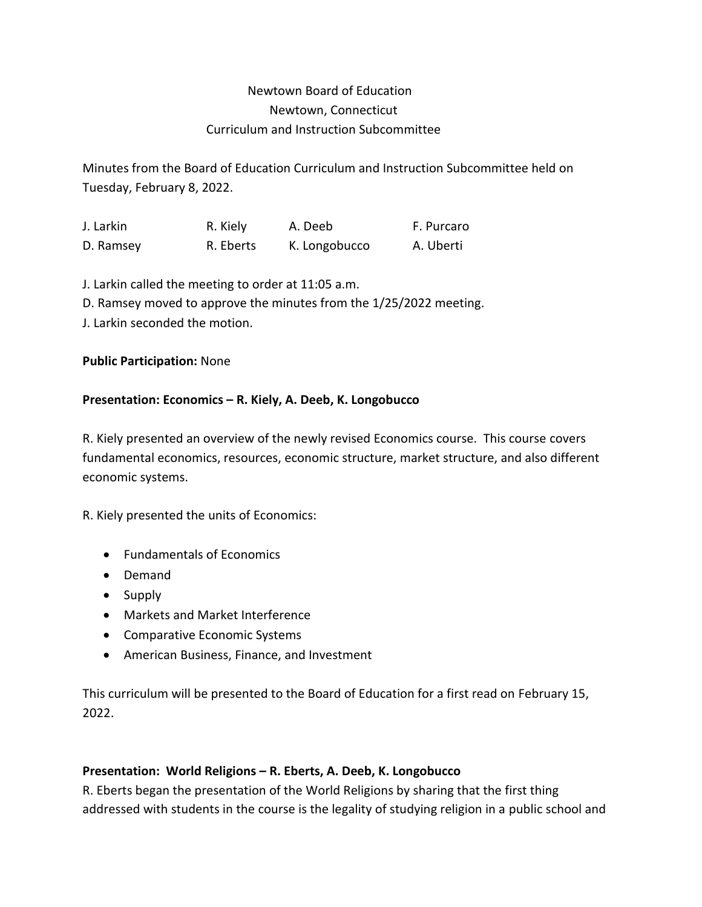# Newtown Board of Education Newtown, Connecticut Curriculum and Instruction Subcommittee

Minutes from the Board of Education Curriculum and Instruction Subcommittee held on Tuesday, February 8, 2022.

J. Larkin R. Kiely A. Deeb F. Purcaro D. Ramsey R. Eberts K. Longobucco A. Uberti

J. Larkin called the meeting to order at 11:05 a.m.

D. Ramsey moved to approve the minutes from the 1/25/2022 meeting.

J. Larkin seconded the motion.

### **Public Participation:** None

### **Presentation: Economics – R. Kiely, A. Deeb, K. Longobucco**

R. Kiely presented an overview of the newly revised Economics course. This course covers fundamental economics, resources, economic structure, market structure, and also different economic systems.

R. Kiely presented the units of Economics:

- Fundamentals of Economics
- Demand
- Supply
- Markets and Market Interference
- Comparative Economic Systems
- American Business, Finance, and Investment

This curriculum will be presented to the Board of Education for a first read on February 15, 2022.

## **Presentation: World Religions – R. Eberts, A. Deeb, K. Longobucco**

R. Eberts began the presentation of the World Religions by sharing that the first thing addressed with students in the course is the legality of studying religion in a public school and